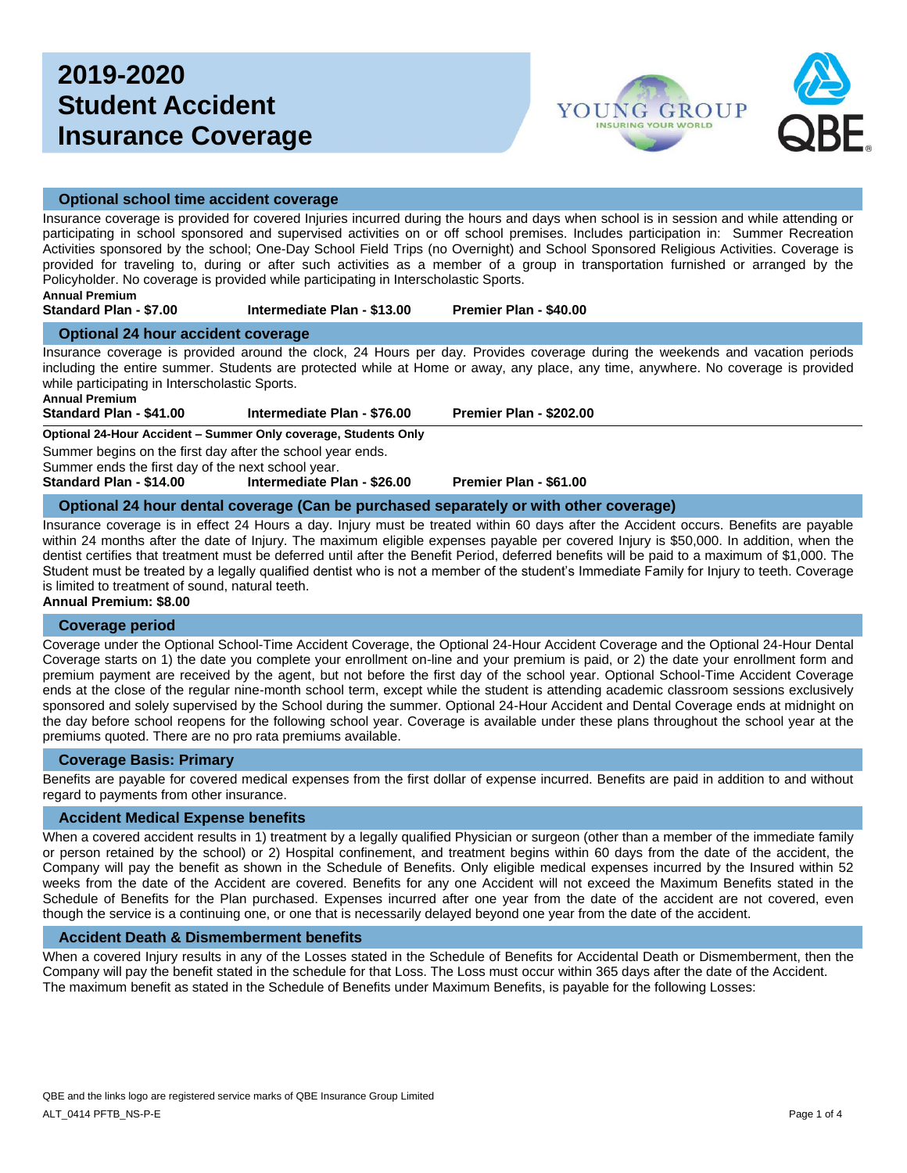# **2019-2020 Student Accident Insurance Coverage**



### **Optional school time accident coverage**

Insurance coverage is provided for covered Injuries incurred during the hours and days when school is in session and while attending or participating in school sponsored and supervised activities on or off school premises. Includes participation in: Summer Recreation Activities sponsored by the school; One-Day School Field Trips (no Overnight) and School Sponsored Religious Activities. Coverage is provided for traveling to, during or after such activities as a member of a group in transportation furnished or arranged by the Policyholder. No coverage is provided while participating in Interscholastic Sports.

#### **Annual Premium Standard Plan - \$7.00 Intermediate Plan - \$13.00 Premier Plan - \$40.00**

#### **Optional 24 hour accident coverage**

Insurance coverage is provided around the clock, 24 Hours per day. Provides coverage during the weekends and vacation periods including the entire summer. Students are protected while at Home or away, any place, any time, anywhere. No coverage is provided while participating in Interscholastic Sports.

**Annual Premium**

**Standard Plan - \$41.00 Intermediate Plan - \$76.00 Premier Plan - \$202.00**

**Optional 24-Hour Accident – Summer Only coverage, Students Only**

Summer begins on the first day after the school year ends.

Summer ends the first day of the next school year.

**Standard Plan - \$14.00 Intermediate Plan - \$26.00 Premier Plan - \$61.00**

#### **Optional 24 hour dental coverage (Can be purchased separately or with other coverage)**

Insurance coverage is in effect 24 Hours a day. Injury must be treated within 60 days after the Accident occurs. Benefits are payable within 24 months after the date of Injury. The maximum eligible expenses payable per covered Injury is \$50,000. In addition, when the dentist certifies that treatment must be deferred until after the Benefit Period, deferred benefits will be paid to a maximum of \$1,000. The Student must be treated by a legally qualified dentist who is not a member of the student's Immediate Family for Injury to teeth. Coverage is limited to treatment of sound, natural teeth.

#### **Annual Premium: \$8.00**

#### **Coverage period**

Coverage under the Optional School-Time Accident Coverage, the Optional 24-Hour Accident Coverage and the Optional 24-Hour Dental Coverage starts on 1) the date you complete your enrollment on-line and your premium is paid, or 2) the date your enrollment form and premium payment are received by the agent, but not before the first day of the school year. Optional School-Time Accident Coverage ends at the close of the regular nine-month school term, except while the student is attending academic classroom sessions exclusively sponsored and solely supervised by the School during the summer. Optional 24-Hour Accident and Dental Coverage ends at midnight on the day before school reopens for the following school year. Coverage is available under these plans throughout the school year at the premiums quoted. There are no pro rata premiums available.

#### **Coverage Basis: Primary**

Benefits are payable for covered medical expenses from the first dollar of expense incurred. Benefits are paid in addition to and without regard to payments from other insurance.

#### **Accident Medical Expense benefits**

When a covered accident results in 1) treatment by a legally qualified Physician or surgeon (other than a member of the immediate family or person retained by the school) or 2) Hospital confinement, and treatment begins within 60 days from the date of the accident, the Company will pay the benefit as shown in the Schedule of Benefits. Only eligible medical expenses incurred by the Insured within 52 weeks from the date of the Accident are covered. Benefits for any one Accident will not exceed the Maximum Benefits stated in the Schedule of Benefits for the Plan purchased. Expenses incurred after one year from the date of the accident are not covered, even though the service is a continuing one, or one that is necessarily delayed beyond one year from the date of the accident.

#### **Accident Death & Dismemberment benefits**

When a covered Injury results in any of the Losses stated in the Schedule of Benefits for Accidental Death or Dismemberment, then the Company will pay the benefit stated in the schedule for that Loss. The Loss must occur within 365 days after the date of the Accident. The maximum benefit as stated in the Schedule of Benefits under Maximum Benefits, is payable for the following Losses: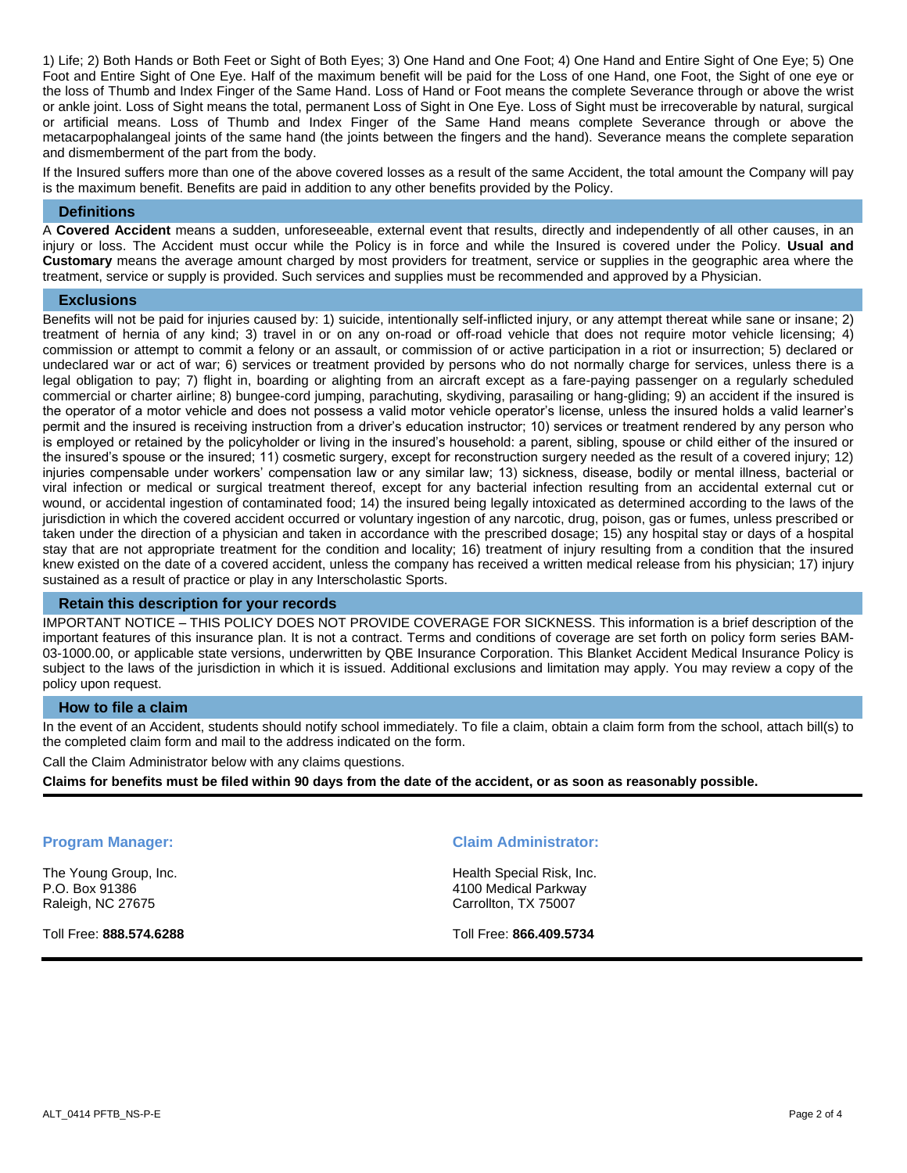1) Life; 2) Both Hands or Both Feet or Sight of Both Eyes; 3) One Hand and One Foot; 4) One Hand and Entire Sight of One Eye; 5) One Foot and Entire Sight of One Eye. Half of the maximum benefit will be paid for the Loss of one Hand, one Foot, the Sight of one eye or the loss of Thumb and Index Finger of the Same Hand. Loss of Hand or Foot means the complete Severance through or above the wrist or ankle joint. Loss of Sight means the total, permanent Loss of Sight in One Eye. Loss of Sight must be irrecoverable by natural, surgical or artificial means. Loss of Thumb and Index Finger of the Same Hand means complete Severance through or above the metacarpophalangeal joints of the same hand (the joints between the fingers and the hand). Severance means the complete separation and dismemberment of the part from the body.

If the Insured suffers more than one of the above covered losses as a result of the same Accident, the total amount the Company will pay is the maximum benefit. Benefits are paid in addition to any other benefits provided by the Policy.

#### **Definitions**

A **Covered Accident** means a sudden, unforeseeable, external event that results, directly and independently of all other causes, in an injury or loss. The Accident must occur while the Policy is in force and while the Insured is covered under the Policy. **Usual and Customary** means the average amount charged by most providers for treatment, service or supplies in the geographic area where the treatment, service or supply is provided. Such services and supplies must be recommended and approved by a Physician.

#### **Exclusions**

Benefits will not be paid for injuries caused by: 1) suicide, intentionally self-inflicted injury, or any attempt thereat while sane or insane; 2) treatment of hernia of any kind; 3) travel in or on any on-road or off-road vehicle that does not require motor vehicle licensing; 4) commission or attempt to commit a felony or an assault, or commission of or active participation in a riot or insurrection; 5) declared or undeclared war or act of war; 6) services or treatment provided by persons who do not normally charge for services, unless there is a legal obligation to pay; 7) flight in, boarding or alighting from an aircraft except as a fare-paying passenger on a regularly scheduled commercial or charter airline; 8) bungee-cord jumping, parachuting, skydiving, parasailing or hang-gliding; 9) an accident if the insured is the operator of a motor vehicle and does not possess a valid motor vehicle operator's license, unless the insured holds a valid learner's permit and the insured is receiving instruction from a driver's education instructor; 10) services or treatment rendered by any person who is employed or retained by the policyholder or living in the insured's household: a parent, sibling, spouse or child either of the insured or the insured's spouse or the insured; 11) cosmetic surgery, except for reconstruction surgery needed as the result of a covered injury; 12) injuries compensable under workers' compensation law or any similar law; 13) sickness, disease, bodily or mental illness, bacterial or viral infection or medical or surgical treatment thereof, except for any bacterial infection resulting from an accidental external cut or wound, or accidental ingestion of contaminated food; 14) the insured being legally intoxicated as determined according to the laws of the jurisdiction in which the covered accident occurred or voluntary ingestion of any narcotic, drug, poison, gas or fumes, unless prescribed or taken under the direction of a physician and taken in accordance with the prescribed dosage; 15) any hospital stay or days of a hospital stay that are not appropriate treatment for the condition and locality; 16) treatment of injury resulting from a condition that the insured knew existed on the date of a covered accident, unless the company has received a written medical release from his physician; 17) injury sustained as a result of practice or play in any Interscholastic Sports.

### **Retain this description for your records**

IMPORTANT NOTICE – THIS POLICY DOES NOT PROVIDE COVERAGE FOR SICKNESS. This information is a brief description of the important features of this insurance plan. It is not a contract. Terms and conditions of coverage are set forth on policy form series BAM-03-1000.00, or applicable state versions, underwritten by QBE Insurance Corporation. This Blanket Accident Medical Insurance Policy is subject to the laws of the jurisdiction in which it is issued. Additional exclusions and limitation may apply. You may review a copy of the policy upon request.

#### **How to file a claim**

In the event of an Accident, students should notify school immediately. To file a claim, obtain a claim form from the school, attach bill(s) to the completed claim form and mail to the address indicated on the form.

Call the Claim Administrator below with any claims questions.

**Claims for benefits must be filed within 90 days from the date of the accident, or as soon as reasonably possible.** 

The Young Group, Inc. P.O. Box 91386 Raleigh, NC 27675

Toll Free: **888.574.6288**

#### **Program Manager: Claim Administrator:**

Health Special Risk, Inc. 4100 Medical Parkway Carrollton, TX 75007

Toll Free: **866.409.5734**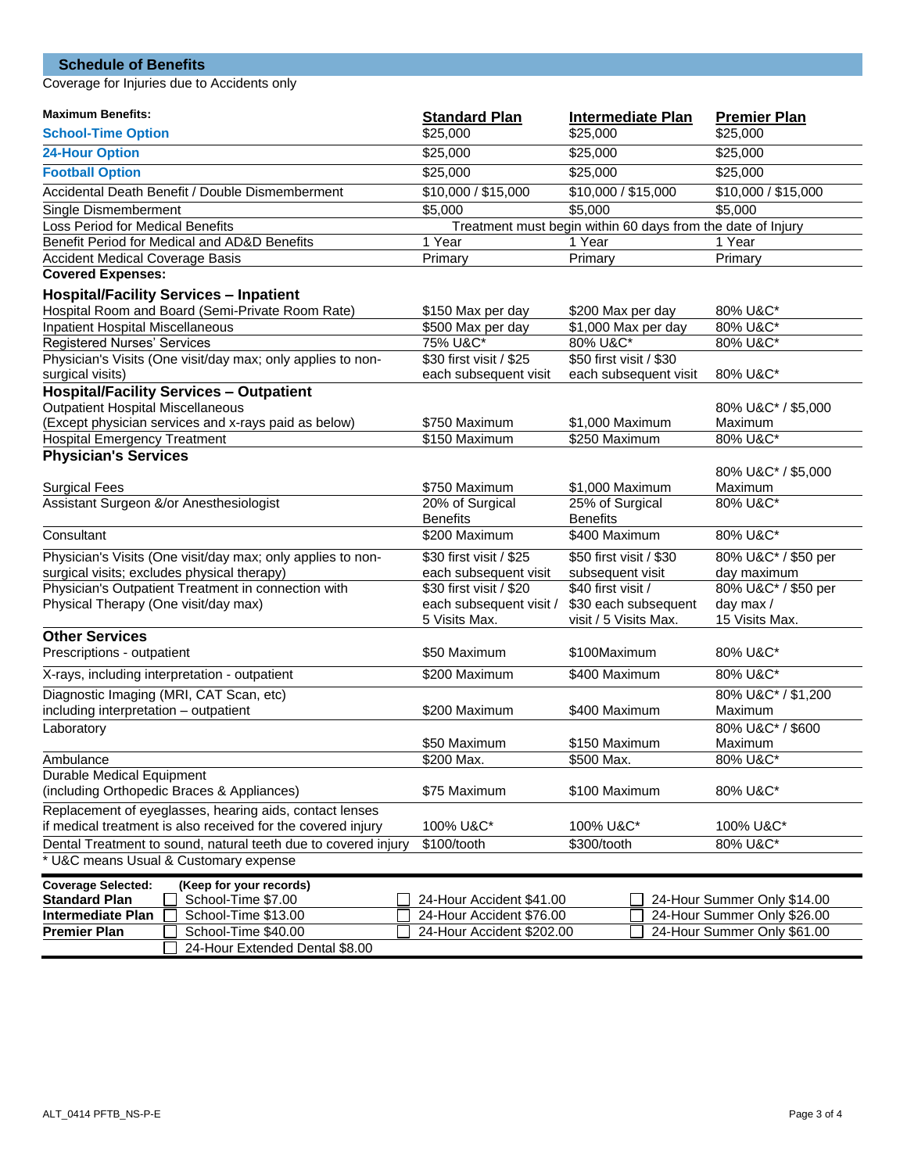# **Schedule of Benefits**

Coverage for Injuries due to Accidents only

| <b>Maximum Benefits:</b>                                                      | <b>Standard Plan</b>               | <b>Intermediate Plan</b>                                    | <b>Premier Plan</b>         |  |
|-------------------------------------------------------------------------------|------------------------------------|-------------------------------------------------------------|-----------------------------|--|
| <b>School-Time Option</b>                                                     | \$25,000                           | \$25,000                                                    | \$25,000                    |  |
| <b>24-Hour Option</b>                                                         | \$25,000                           | \$25,000                                                    | \$25,000                    |  |
| <b>Football Option</b>                                                        | \$25,000                           | \$25,000                                                    | \$25,000                    |  |
| Accidental Death Benefit / Double Dismemberment                               | \$10,000 / \$15,000                | \$10,000 / \$15,000                                         | \$10,000 / \$15,000         |  |
| Single Dismemberment                                                          | \$5,000                            | \$5,000                                                     | \$5,000                     |  |
| Loss Period for Medical Benefits                                              |                                    | Treatment must begin within 60 days from the date of Injury |                             |  |
| Benefit Period for Medical and AD&D Benefits                                  | 1 Year                             | 1 Year                                                      | 1 Year                      |  |
| <b>Accident Medical Coverage Basis</b>                                        | Primary                            | Primary                                                     | Primary                     |  |
| <b>Covered Expenses:</b>                                                      |                                    |                                                             |                             |  |
| <b>Hospital/Facility Services - Inpatient</b>                                 |                                    |                                                             |                             |  |
| Hospital Room and Board (Semi-Private Room Rate)                              | \$150 Max per day                  | \$200 Max per day                                           | 80% U&C*                    |  |
| <b>Inpatient Hospital Miscellaneous</b>                                       | \$500 Max per day                  | $$1,000$ Max per day                                        | 80% U&C*                    |  |
| <b>Registered Nurses' Services</b>                                            | 75% U&C*                           | 80% U&C*                                                    | 80% U&C*                    |  |
|                                                                               | \$30 first visit / \$25            | \$50 first visit / \$30                                     |                             |  |
| Physician's Visits (One visit/day max; only applies to non-                   |                                    |                                                             |                             |  |
| surgical visits)                                                              | each subsequent visit              | each subsequent visit                                       | 80% U&C*                    |  |
| <b>Hospital/Facility Services - Outpatient</b>                                |                                    |                                                             |                             |  |
| <b>Outpatient Hospital Miscellaneous</b>                                      |                                    |                                                             | 80% U&C* / \$5,000          |  |
| (Except physician services and x-rays paid as below)                          | \$750 Maximum                      | \$1,000 Maximum                                             | Maximum                     |  |
| <b>Hospital Emergency Treatment</b>                                           | \$150 Maximum                      | \$250 Maximum                                               | 80% U&C*                    |  |
| <b>Physician's Services</b>                                                   |                                    |                                                             |                             |  |
|                                                                               |                                    |                                                             | 80% U&C* / \$5,000          |  |
| <b>Surgical Fees</b>                                                          | \$750 Maximum                      | \$1,000 Maximum                                             | Maximum                     |  |
| Assistant Surgeon &/or Anesthesiologist                                       | 20% of Surgical<br><b>Benefits</b> | 25% of Surgical<br><b>Benefits</b>                          | 80% U&C*                    |  |
| Consultant                                                                    | \$200 Maximum                      | \$400 Maximum                                               | 80% U&C*                    |  |
| Physician's Visits (One visit/day max; only applies to non-                   | \$30 first visit / \$25            | \$50 first visit / \$30                                     | 80% U&C* / \$50 per         |  |
| surgical visits; excludes physical therapy)                                   | each subsequent visit              | subsequent visit                                            | day maximum                 |  |
| Physician's Outpatient Treatment in connection with                           | \$30 first visit / \$20            | \$40 first visit /                                          | 80% U&C* / \$50 per         |  |
| Physical Therapy (One visit/day max)                                          | each subsequent visit /            | \$30 each subsequent                                        | day max /                   |  |
|                                                                               | 5 Visits Max.                      | visit / 5 Visits Max.                                       | 15 Visits Max.              |  |
| <b>Other Services</b>                                                         |                                    |                                                             |                             |  |
| Prescriptions - outpatient                                                    | \$50 Maximum                       | \$100Maximum                                                | 80% U&C*                    |  |
| X-rays, including interpretation - outpatient                                 | \$200 Maximum                      | \$400 Maximum                                               | 80% U&C*                    |  |
| Diagnostic Imaging (MRI, CAT Scan, etc)                                       |                                    |                                                             | 80% U&C* / \$1,200          |  |
| including interpretation - outpatient                                         | \$200 Maximum                      | \$400 Maximum                                               | Maximum                     |  |
| Laboratory                                                                    |                                    |                                                             | 80% U&C* / \$600            |  |
|                                                                               | \$50 Maximum<br>\$150 Maximum      |                                                             | Maximum                     |  |
| Ambulance                                                                     | \$200 Max.                         | \$500 Max.                                                  | 80% U&C*                    |  |
| <b>Durable Medical Equipment</b>                                              |                                    |                                                             |                             |  |
| (including Orthopedic Braces & Appliances)                                    | \$75 Maximum                       | \$100 Maximum                                               | 80% U&C*                    |  |
| Replacement of eyeglasses, hearing aids, contact lenses                       |                                    |                                                             |                             |  |
| if medical treatment is also received for the covered injury                  | 100% U&C*                          | 100% U&C*                                                   | 100% U&C*                   |  |
| Dental Treatment to sound, natural teeth due to covered injury<br>\$100/tooth |                                    | \$300/tooth                                                 | 80% U&C*                    |  |
| * U&C means Usual & Customary expense                                         |                                    |                                                             |                             |  |
| <b>Coverage Selected:</b><br>(Keep for your records)                          |                                    |                                                             |                             |  |
| <b>Standard Plan</b><br>School-Time \$7.00                                    | 24-Hour Accident \$41.00           |                                                             | 24-Hour Summer Only \$14.00 |  |
| <b>Intermediate Plan</b><br>School-Time \$13.00                               | 24-Hour Accident \$76.00           |                                                             | 24-Hour Summer Only \$26.00 |  |
| <b>Premier Plan</b><br>School-Time \$40.00                                    | 24-Hour Accident \$202.00          |                                                             | 24-Hour Summer Only \$61.00 |  |
| 24-Hour Extended Dental \$8.00                                                |                                    |                                                             |                             |  |